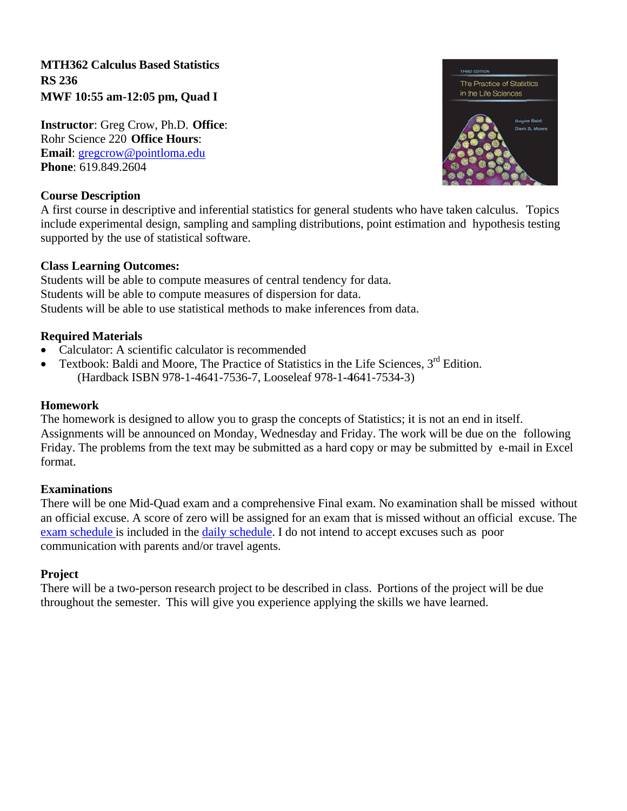**MTH362 Calculus Based Statistics RS 236** MWF 10:55 am-12:05 pm, Quad I

**Instructor:** Greg Crow, Ph.D. Office: Rohr Science 220 Office Hours: Email: gregcrow@pointloma.edu Phone: 619.849.2604



## **Course Description**

A first course in descriptive and inferential statistics for general students who have taken calculus. Topics include experimental design, sampling and sampling distributions, point estimation and hypothesis testing supported by the use of statistical software.

## **Class Learning Outcomes:**

Students will be able to compute measures of central tendency for data. Students will be able to compute measures of dispersion for data. Students will be able to use statistical methods to make inferences from data.

## **Required Materials**

- Calculator: A scientific calculator is recommended
- Textbook: Baldi and Moore, The Practice of Statistics in the Life Sciences, 3<sup>rd</sup> Edition. (Hardback ISBN 978-1-4641-7536-7, Looseleaf 978-1-4641-7534-3)

## **Homework**

The homework is designed to allow you to grasp the concepts of Statistics; it is not an end in itself. Assignments will be announced on Monday, Wednesday and Friday. The work will be due on the following Friday. The problems from the text may be submitted as a hard copy or may be submitted by e-mail in Excel format.

## **Examinations**

There will be one Mid-Quad exam and a comprehensive Final exam. No examination shall be missed without an official excuse. A score of zero will be assigned for an exam that is missed without an official excuse. The exam schedule is included in the daily schedule. I do not intend to accept excuses such as poor communication with parents and/or travel agents.

## **Project**

There will be a two-person research project to be described in class. Portions of the project will be due throughout the semester. This will give you experience applying the skills we have learned.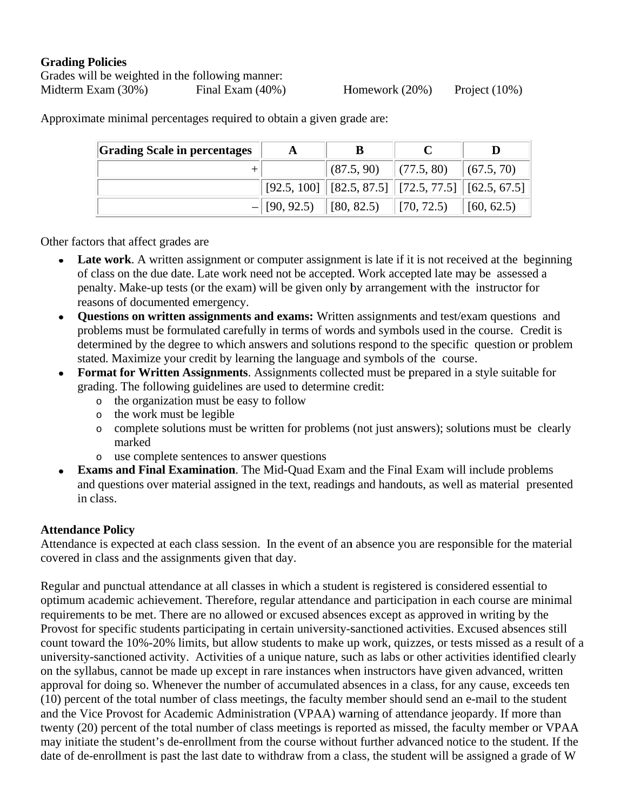## **Grading Policies**

Grades will be weighted in the following manner: Midterm Exam (30%) Final Exam  $(40\%)$ 

Homework  $(20\%)$ Project  $(10\%)$ 

**Grading Scale in percentages**  $\bf{B}$  $\mathbf C$  $\mathbf{D}$  $\mathbf{A}$  $(87.5, 90)$  $(77.5, 80)$  $(67.5, 70)$  $\ddot{}$  $[92.5, 100]$  $[82.5, 87.5]$  $[72.5, 77.5]$  $[62.5, 67.5]$  $[90, 92.5)$  $[80, 82.5)$  $[70, 72.5)$  $[60, 62.5)$ 

Approximate minimal percentages required to obtain a given grade are:

Other factors that affect grades are

- **Late work.** A written assignment or computer assignment is late if it is not received at the beginning  $\bullet$ of class on the due date. Late work need not be accepted. Work accepted late may be assessed a penalty. Make-up tests (or the exam) will be given only by arrangement with the instructor for reasons of documented emergency.
- Ouestions on written assignments and exams: Written assignments and test/exam questions and  $\bullet$ problems must be formulated carefully in terms of words and symbols used in the course. Credit is determined by the degree to which answers and solutions respond to the specific question or problem stated. Maximize your credit by learning the language and symbols of the course.
- Format for Written Assignments. Assignments collected must be prepared in a style suitable for grading. The following guidelines are used to determine credit:
	- o the organization must be easy to follow
	- o the work must be legible
	- complete solutions must be written for problems (not just answers); solutions must be clearly  $\circ$ marked
	- use complete sentences to answer questions  $\circ$
- **Exams and Final Examination.** The Mid-Quad Exam and the Final Exam will include problems  $\bullet$ and questions over material assigned in the text, readings and handouts, as well as material presented in class.

# **Attendance Policy**

Attendance is expected at each class session. In the event of an absence you are responsible for the material covered in class and the assignments given that day.

Regular and punctual attendance at all classes in which a student is registered is considered essential to optimum academic achievement. Therefore, regular attendance and participation in each course are minimal requirements to be met. There are no allowed or excused absences except as approved in writing by the Provost for specific students participating in certain university-sanctioned activities. Excused absences still count toward the 10%-20% limits, but allow students to make up work, quizzes, or tests missed as a result of a university-sanctioned activity. Activities of a unique nature, such as labs or other activities identified clearly on the syllabus, cannot be made up except in rare instances when instructors have given advanced, written approval for doing so. Whenever the number of accumulated absences in a class, for any cause, exceeds ten (10) percent of the total number of class meetings, the faculty member should send an e-mail to the student and the Vice Provost for Academic Administration (VPAA) warning of attendance jeopardy. If more than twenty (20) percent of the total number of class meetings is reported as missed, the faculty member or VPAA may initiate the student's de-enrollment from the course without further advanced notice to the student. If the date of de-enrollment is past the last date to withdraw from a class, the student will be assigned a grade of W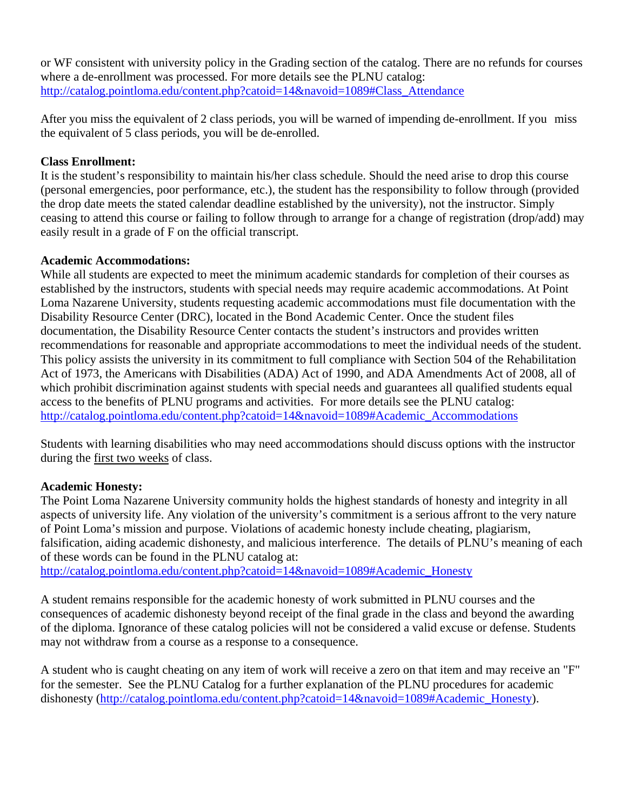or WF consistent with university policy in the Grading section of the catalog. There are no refunds for courses where a de-enrollment was processed. For more details see the PLNU catalog: http://catalog.pointloma.edu/content.php?catoid=14&navoid=1089#Class\_Attendance

After you miss the equivalent of 2 class periods, you will be warned of impending de-enrollment. If you miss the equivalent of 5 class periods, you will be de-enrolled.

## **Class Enrollment:**

It is the student's responsibility to maintain his/her class schedule. Should the need arise to drop this course (personal emergencies, poor performance, etc.), the student has the responsibility to follow through (provided the drop date meets the stated calendar deadline established by the university), not the instructor. Simply ceasing to attend this course or failing to follow through to arrange for a change of registration (drop/add) may easily result in a grade of F on the official transcript.

## **Academic Accommodations:**

While all students are expected to meet the minimum academic standards for completion of their courses as established by the instructors, students with special needs may require academic accommodations. At Point Loma Nazarene University, students requesting academic accommodations must file documentation with the Disability Resource Center (DRC), located in the Bond Academic Center. Once the student files documentation, the Disability Resource Center contacts the student's instructors and provides written recommendations for reasonable and appropriate accommodations to meet the individual needs of the student. This policy assists the university in its commitment to full compliance with Section 504 of the Rehabilitation Act of 1973, the Americans with Disabilities (ADA) Act of 1990, and ADA Amendments Act of 2008, all of which prohibit discrimination against students with special needs and guarantees all qualified students equal access to the benefits of PLNU programs and activities. For more details see the PLNU catalog: http://catalog.pointloma.edu/content.php?catoid=14&navoid=1089#Academic\_Accommodations

Students with learning disabilities who may need accommodations should discuss options with the instructor during the first two weeks of class.

# **Academic Honesty:**

The Point Loma Nazarene University community holds the highest standards of honesty and integrity in all aspects of university life. Any violation of the university's commitment is a serious affront to the very nature of Point Loma's mission and purpose. Violations of academic honesty include cheating, plagiarism, falsification, aiding academic dishonesty, and malicious interference. The details of PLNU's meaning of each of these words can be found in the PLNU catalog at:

http://catalog.pointloma.edu/content.php?catoid=14&navoid=1089#Academic\_Honesty

A student remains responsible for the academic honesty of work submitted in PLNU courses and the consequences of academic dishonesty beyond receipt of the final grade in the class and beyond the awarding of the diploma. Ignorance of these catalog policies will not be considered a valid excuse or defense. Students may not withdraw from a course as a response to a consequence.

A student who is caught cheating on any item of work will receive a zero on that item and may receive an "F" for the semester. See the PLNU Catalog for a further explanation of the PLNU procedures for academic dishonesty (http://catalog.pointloma.edu/content.php?catoid=14&navoid=1089#Academic\_Honesty).